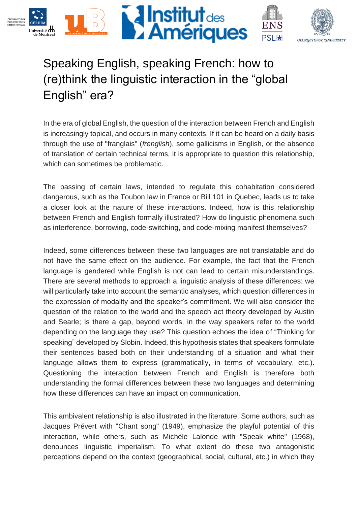

## Speaking English, speaking French: how to (re)think the linguistic interaction in the "global English" era?

In the era of global English, the question of the interaction between French and English is increasingly topical, and occurs in many contexts. If it can be heard on a daily basis through the use of "franglais" (*frenglish*), some gallicisms in English, or the absence of translation of certain technical terms, it is appropriate to question this relationship, which can sometimes be problematic.

The passing of certain laws, intended to regulate this cohabitation considered dangerous, such as the Toubon law in France or Bill 101 in Quebec, leads us to take a closer look at the nature of these interactions. Indeed, how is this relationship between French and English formally illustrated? How do linguistic phenomena such as interference, borrowing, code-switching, and code-mixing manifest themselves?

Indeed, some differences between these two languages are not translatable and do not have the same effect on the audience. For example, the fact that the French language is gendered while English is not can lead to certain misunderstandings. There are several methods to approach a linguistic analysis of these differences: we will particularly take into account the semantic analyses, which question differences in the expression of modality and the speaker's commitment. We will also consider the question of the relation to the world and the speech act theory developed by Austin and Searle; is there a gap, beyond words, in the way speakers refer to the world depending on the language they use? This question echoes the idea of "Thinking for speaking" developed by Slobin. Indeed, this hypothesis states that speakers formulate their sentences based both on their understanding of a situation and what their language allows them to express (grammatically, in terms of vocabulary, etc.). Questioning the interaction between French and English is therefore both understanding the formal differences between these two languages and determining how these differences can have an impact on communication.

This ambivalent relationship is also illustrated in the literature. Some authors, such as Jacques Prévert with "Chant song" (1949), emphasize the playful potential of this interaction, while others, such as Michèle Lalonde with "Speak white" (1968), denounces linguistic imperialism. To what extent do these two antagonistic perceptions depend on the context (geographical, social, cultural, etc.) in which they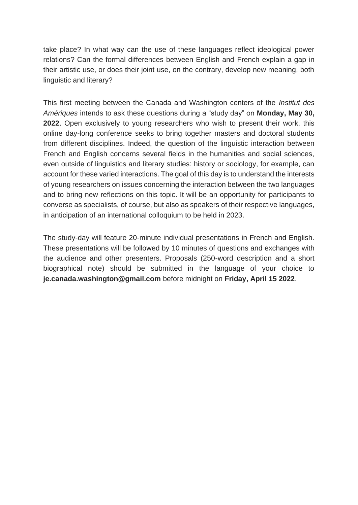take place? In what way can the use of these languages reflect ideological power relations? Can the formal differences between English and French explain a gap in their artistic use, or does their joint use, on the contrary, develop new meaning, both linguistic and literary?

This first meeting between the Canada and Washington centers of the *Institut des Amériques* intends to ask these questions during a "study day" on **Monday, May 30, 2022**. Open exclusively to young researchers who wish to present their work, this online day-long conference seeks to bring together masters and doctoral students from different disciplines. Indeed, the question of the linguistic interaction between French and English concerns several fields in the humanities and social sciences, even outside of linguistics and literary studies: history or sociology, for example, can account for these varied interactions. The goal of this day is to understand the interests of young researchers on issues concerning the interaction between the two languages and to bring new reflections on this topic. It will be an opportunity for participants to converse as specialists, of course, but also as speakers of their respective languages, in anticipation of an international colloquium to be held in 2023.

The study-day will feature 20-minute individual presentations in French and English. These presentations will be followed by 10 minutes of questions and exchanges with the audience and other presenters. Proposals (250-word description and a short biographical note) should be submitted in the language of your choice to **je.canada.washington@gmail.com** before midnight on **Friday, April 15 2022**.